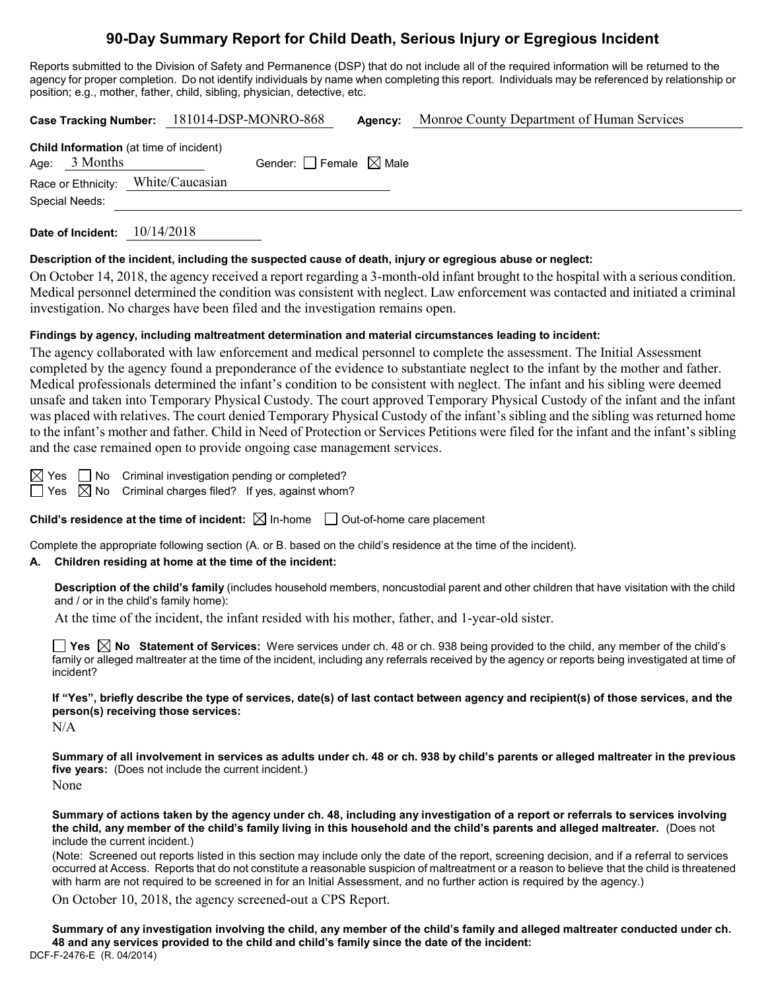# **90-Day Summary Report for Child Death, Serious Injury or Egregious Incident**

Reports submitted to the Division of Safety and Permanence (DSP) that do not include all of the required information will be returned to the agency for proper completion. Do not identify individuals by name when completing this report. Individuals may be referenced by relationship or position; e.g., mother, father, child, sibling, physician, detective, etc.

| Case Tracking Number: 181014-DSP-MONRO-868                        |            |                                 | Agency: | Monroe County Department of Human Services |
|-------------------------------------------------------------------|------------|---------------------------------|---------|--------------------------------------------|
| <b>Child Information</b> (at time of incident)<br>Age: $3$ Months |            | Gender: Female $\boxtimes$ Male |         |                                            |
| Race or Ethnicity: White/Caucasian                                |            |                                 |         |                                            |
| Special Needs:                                                    |            |                                 |         |                                            |
| Date of Incident:                                                 | 10/14/2018 |                                 |         |                                            |

**Description of the incident, including the suspected cause of death, injury or egregious abuse or neglect:**

On October 14, 2018, the agency received a report regarding a 3-month-old infant brought to the hospital with a serious condition. Medical personnel determined the condition was consistent with neglect. Law enforcement was contacted and initiated a criminal investigation. No charges have been filed and the investigation remains open.

#### **Findings by agency, including maltreatment determination and material circumstances leading to incident:**

The agency collaborated with law enforcement and medical personnel to complete the assessment. The Initial Assessment completed by the agency found a preponderance of the evidence to substantiate neglect to the infant by the mother and father. Medical professionals determined the infant's condition to be consistent with neglect. The infant and his sibling were deemed unsafe and taken into Temporary Physical Custody. The court approved Temporary Physical Custody of the infant and the infant was placed with relatives. The court denied Temporary Physical Custody of the infant's sibling and the sibling was returned home to the infant's mother and father. Child in Need of Protection or Services Petitions were filed for the infant and the infant's sibling and the case remained open to provide ongoing case management services.

 $\boxtimes$  Yes  $\Box$  No Criminal investigation pending or completed?  $\Box$  Yes  $\boxtimes$  No Criminal charges filed? If yes, against whom?

**Child's residence at the time of incident:**  $\boxtimes$  In-home  $\Box$  Out-of-home care placement

Complete the appropriate following section (A. or B. based on the child's residence at the time of the incident).

## **A. Children residing at home at the time of the incident:**

**Description of the child's family** (includes household members, noncustodial parent and other children that have visitation with the child and / or in the child's family home):

At the time of the incident, the infant resided with his mother, father, and 1-year-old sister.

**Yes No Statement of Services:** Were services under ch. 48 or ch. 938 being provided to the child, any member of the child's family or alleged maltreater at the time of the incident, including any referrals received by the agency or reports being investigated at time of incident?

**If "Yes", briefly describe the type of services, date(s) of last contact between agency and recipient(s) of those services, and the person(s) receiving those services:**

 $N/A$ 

**Summary of all involvement in services as adults under ch. 48 or ch. 938 by child's parents or alleged maltreater in the previous five years:** (Does not include the current incident.) None

**Summary of actions taken by the agency under ch. 48, including any investigation of a report or referrals to services involving the child, any member of the child's family living in this household and the child's parents and alleged maltreater.** (Does not include the current incident.)

(Note: Screened out reports listed in this section may include only the date of the report, screening decision, and if a referral to services occurred at Access. Reports that do not constitute a reasonable suspicion of maltreatment or a reason to believe that the child is threatened with harm are not required to be screened in for an Initial Assessment, and no further action is required by the agency.)

On October 10, 2018, the agency screened-out a CPS Report.

DCF-F-2476-E (R. 04/2014) **Summary of any investigation involving the child, any member of the child's family and alleged maltreater conducted under ch. 48 and any services provided to the child and child's family since the date of the incident:**